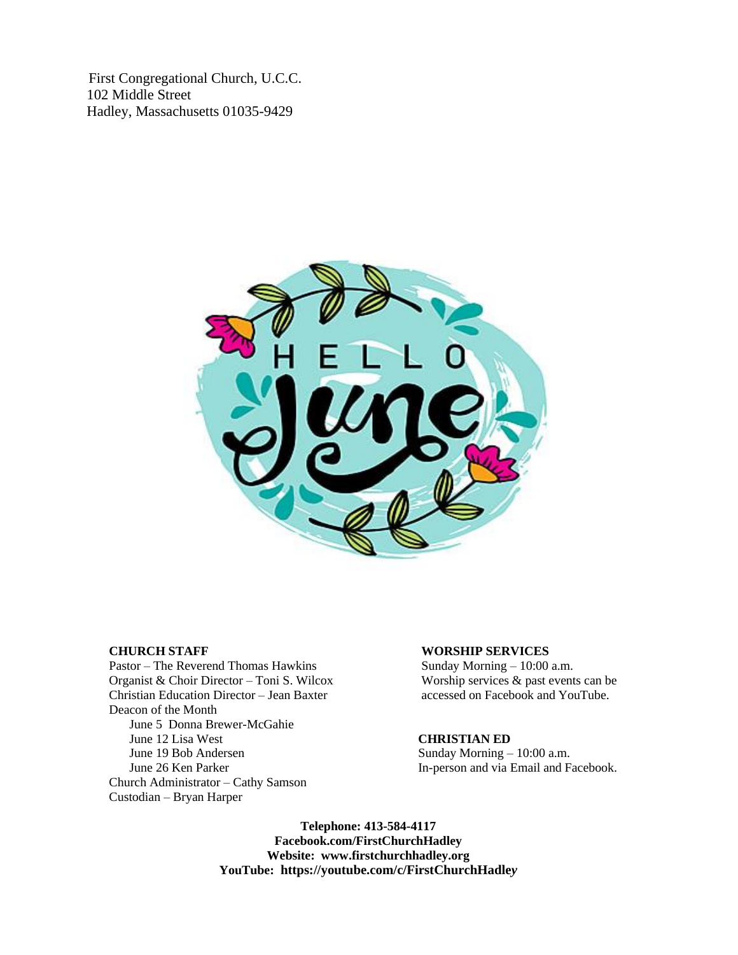First Congregational Church, U.C.C. 102 Middle Street Hadley, Massachusetts 01035-9429



Pastor – The Reverend Thomas Hawkins Sunday Morning – 10:00 a.m.<br>
Organist & Choir Director – Toni S. Wilcox Worship services & past events can be Organist & Choir Director – Toni S. Wilcox Christian Education Director – Jean Baxter accessed on Facebook and YouTube. Deacon of the Month June 5 Donna Brewer-McGahie June 12 Lisa West **CHRISTIAN ED** June 19 Bob Andersen Sunday Morning – 10:00 a.m. June 26 Ken Parker In-person and via Email and Facebook. Church Administrator – Cathy Samson Custodian – Bryan Harper

### **CHURCH STAFF WORSHIP SERVICES**

**Telephone: 413-584-4117 Facebook.com/FirstChurchHadley Website: [www.firstchurchhadley.org](http://www.firstchurchhadley.org/) YouTube: [https://youtube.com/c/FirstChurchHadle](https://youtube.com/c/FirstChurchHadley)***y*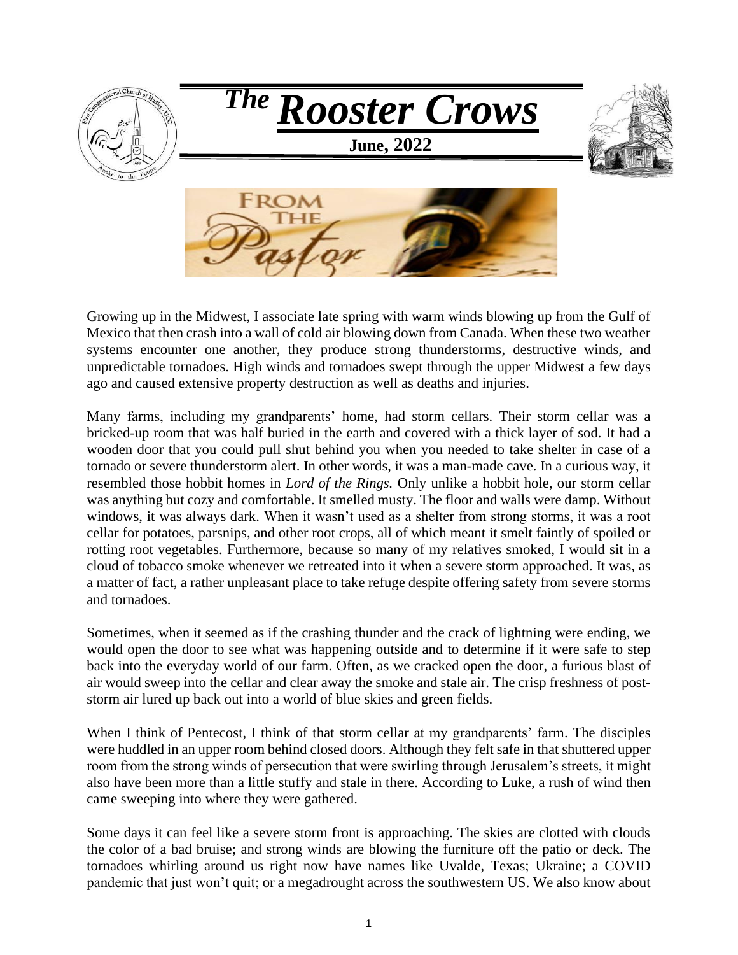

Growing up in the Midwest, I associate late spring with warm winds blowing up from the Gulf of Mexico that then crash into a wall of cold air blowing down from Canada. When these two weather systems encounter one another, they produce strong thunderstorms, destructive winds, and unpredictable tornadoes. High winds and tornadoes swept through the upper Midwest a few days ago and caused extensive property destruction as well as deaths and injuries.

Many farms, including my grandparents' home, had storm cellars. Their storm cellar was a bricked-up room that was half buried in the earth and covered with a thick layer of sod. It had a wooden door that you could pull shut behind you when you needed to take shelter in case of a tornado or severe thunderstorm alert. In other words, it was a man-made cave. In a curious way, it resembled those hobbit homes in *Lord of the Rings.* Only unlike a hobbit hole, our storm cellar was anything but cozy and comfortable. It smelled musty. The floor and walls were damp. Without windows, it was always dark. When it wasn't used as a shelter from strong storms, it was a root cellar for potatoes, parsnips, and other root crops, all of which meant it smelt faintly of spoiled or rotting root vegetables. Furthermore, because so many of my relatives smoked, I would sit in a cloud of tobacco smoke whenever we retreated into it when a severe storm approached. It was, as a matter of fact, a rather unpleasant place to take refuge despite offering safety from severe storms and tornadoes.

Sometimes, when it seemed as if the crashing thunder and the crack of lightning were ending, we would open the door to see what was happening outside and to determine if it were safe to step back into the everyday world of our farm. Often, as we cracked open the door, a furious blast of air would sweep into the cellar and clear away the smoke and stale air. The crisp freshness of poststorm air lured up back out into a world of blue skies and green fields.

When I think of Pentecost, I think of that storm cellar at my grandparents' farm. The disciples were huddled in an upper room behind closed doors. Although they felt safe in that shuttered upper room from the strong winds of persecution that were swirling through Jerusalem's streets, it might also have been more than a little stuffy and stale in there. According to Luke, a rush of wind then came sweeping into where they were gathered.

Some days it can feel like a severe storm front is approaching. The skies are clotted with clouds the color of a bad bruise; and strong winds are blowing the furniture off the patio or deck. The tornadoes whirling around us right now have names like Uvalde, Texas; Ukraine; a COVID pandemic that just won't quit; or a megadrought across the southwestern US. We also know about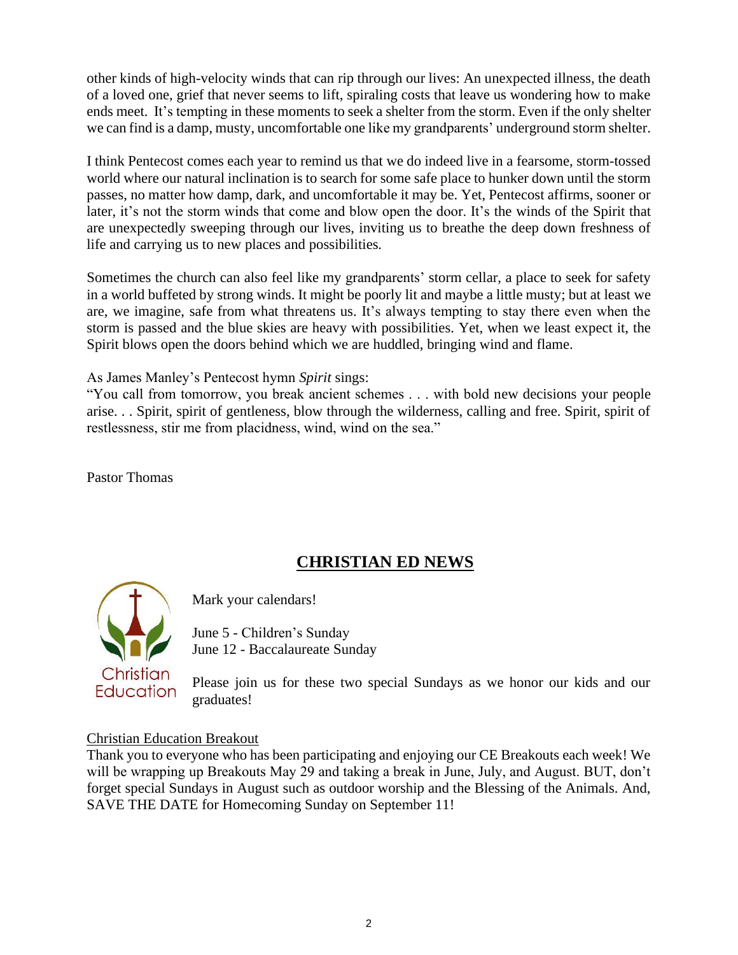other kinds of high-velocity winds that can rip through our lives: An unexpected illness, the death of a loved one, grief that never seems to lift, spiraling costs that leave us wondering how to make ends meet. It's tempting in these moments to seek a shelter from the storm. Even if the only shelter we can find is a damp, musty, uncomfortable one like my grandparents' underground storm shelter.

I think Pentecost comes each year to remind us that we do indeed live in a fearsome, storm-tossed world where our natural inclination is to search for some safe place to hunker down until the storm passes, no matter how damp, dark, and uncomfortable it may be. Yet, Pentecost affirms, sooner or later, it's not the storm winds that come and blow open the door. It's the winds of the Spirit that are unexpectedly sweeping through our lives, inviting us to breathe the deep down freshness of life and carrying us to new places and possibilities.

Sometimes the church can also feel like my grandparents' storm cellar, a place to seek for safety in a world buffeted by strong winds. It might be poorly lit and maybe a little musty; but at least we are, we imagine, safe from what threatens us. It's always tempting to stay there even when the storm is passed and the blue skies are heavy with possibilities. Yet, when we least expect it, the Spirit blows open the doors behind which we are huddled, bringing wind and flame.

As James Manley's Pentecost hymn *Spirit* sings:

"You call from tomorrow, you break ancient schemes . . . with bold new decisions your people arise. . . Spirit, spirit of gentleness, blow through the wilderness, calling and free. Spirit, spirit of restlessness, stir me from placidness, wind, wind on the sea."

Pastor Thomas

# **CHRISTIAN ED NEWS**



Mark your calendars!

June 5 - Children's Sunday June 12 - Baccalaureate Sunday

Please join us for these two special Sundays as we honor our kids and our graduates!

### Christian Education Breakout

Thank you to everyone who has been participating and enjoying our CE Breakouts each week! We will be wrapping up Breakouts May 29 and taking a break in June, July, and August. BUT, don't forget special Sundays in August such as outdoor worship and the Blessing of the Animals. And, SAVE THE DATE for Homecoming Sunday on September 11!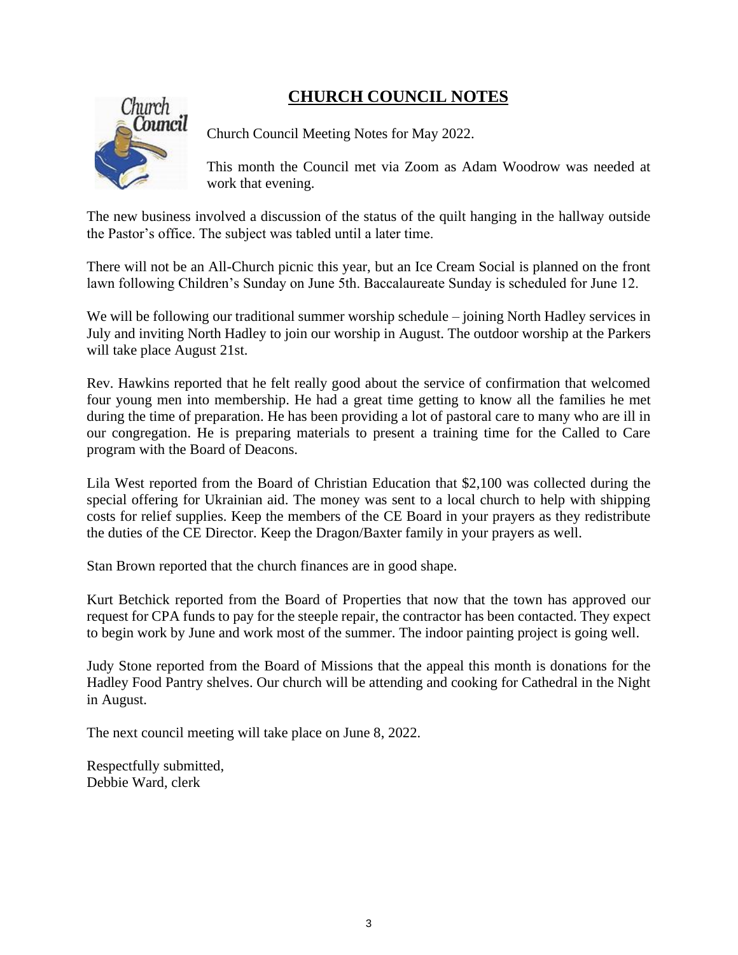# **CHURCH COUNCIL NOTES**



Church Council Meeting Notes for May 2022.

This month the Council met via Zoom as Adam Woodrow was needed at work that evening.

The new business involved a discussion of the status of the quilt hanging in the hallway outside the Pastor's office. The subject was tabled until a later time.

There will not be an All-Church picnic this year, but an Ice Cream Social is planned on the front lawn following Children's Sunday on June 5th. Baccalaureate Sunday is scheduled for June 12.

We will be following our traditional summer worship schedule – joining North Hadley services in July and inviting North Hadley to join our worship in August. The outdoor worship at the Parkers will take place August 21st.

Rev. Hawkins reported that he felt really good about the service of confirmation that welcomed four young men into membership. He had a great time getting to know all the families he met during the time of preparation. He has been providing a lot of pastoral care to many who are ill in our congregation. He is preparing materials to present a training time for the Called to Care program with the Board of Deacons.

Lila West reported from the Board of Christian Education that \$2,100 was collected during the special offering for Ukrainian aid. The money was sent to a local church to help with shipping costs for relief supplies. Keep the members of the CE Board in your prayers as they redistribute the duties of the CE Director. Keep the Dragon/Baxter family in your prayers as well.

Stan Brown reported that the church finances are in good shape.

Kurt Betchick reported from the Board of Properties that now that the town has approved our request for CPA funds to pay for the steeple repair, the contractor has been contacted. They expect to begin work by June and work most of the summer. The indoor painting project is going well.

Judy Stone reported from the Board of Missions that the appeal this month is donations for the Hadley Food Pantry shelves. Our church will be attending and cooking for Cathedral in the Night in August.

The next council meeting will take place on June 8, 2022.

Respectfully submitted, Debbie Ward, clerk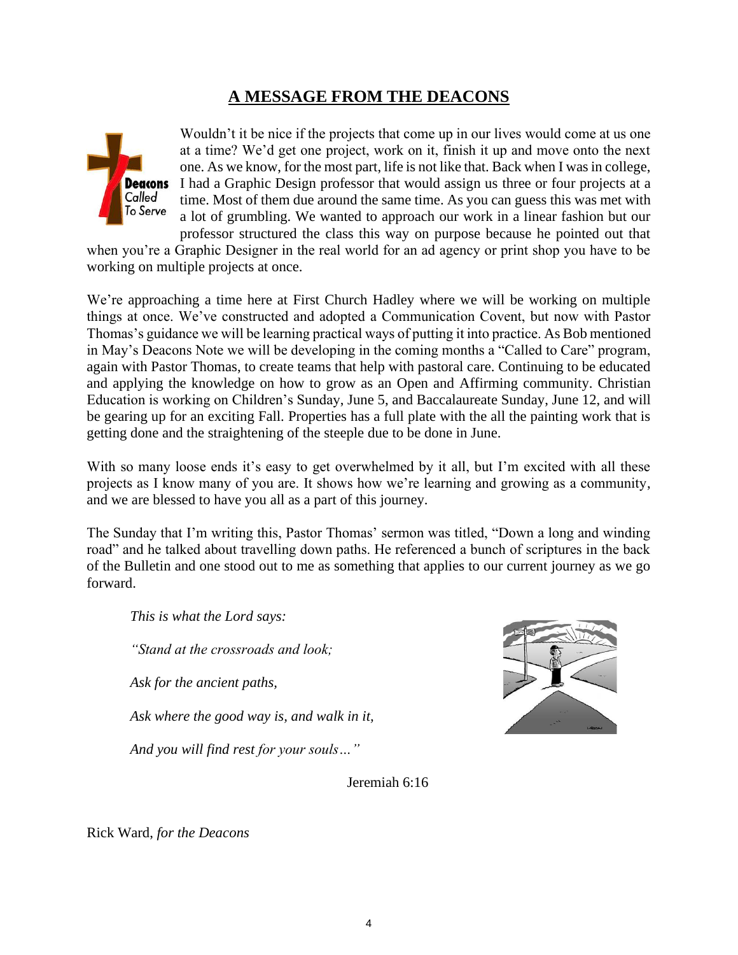# **A MESSAGE FROM THE DEACONS**



Wouldn't it be nice if the projects that come up in our lives would come at us one at a time? We'd get one project, work on it, finish it up and move onto the next one. As we know, for the most part, life is not like that. Back when I was in college, I had a Graphic Design professor that would assign us three or four projects at a time. Most of them due around the same time. As you can guess this was met with a lot of grumbling. We wanted to approach our work in a linear fashion but our professor structured the class this way on purpose because he pointed out that

when you're a Graphic Designer in the real world for an ad agency or print shop you have to be working on multiple projects at once.

We're approaching a time here at First Church Hadley where we will be working on multiple things at once. We've constructed and adopted a Communication Covent, but now with Pastor Thomas's guidance we will be learning practical ways of putting it into practice. As Bob mentioned in May's Deacons Note we will be developing in the coming months a "Called to Care" program, again with Pastor Thomas, to create teams that help with pastoral care. Continuing to be educated and applying the knowledge on how to grow as an Open and Affirming community. Christian Education is working on Children's Sunday, June 5, and Baccalaureate Sunday, June 12, and will be gearing up for an exciting Fall. Properties has a full plate with the all the painting work that is getting done and the straightening of the steeple due to be done in June.

With so many loose ends it's easy to get overwhelmed by it all, but I'm excited with all these projects as I know many of you are. It shows how we're learning and growing as a community, and we are blessed to have you all as a part of this journey.

The Sunday that I'm writing this, Pastor Thomas' sermon was titled, "Down a long and winding road" and he talked about travelling down paths. He referenced a bunch of scriptures in the back of the Bulletin and one stood out to me as something that applies to our current journey as we go forward.

*This is what the Lord says:*

*"Stand at the crossroads and look;*

*Ask for the ancient paths,*

*Ask where the good way is, and walk in it,*

*And you will find rest for your souls…"*



Jeremiah 6:16

Rick Ward, *for the Deacons*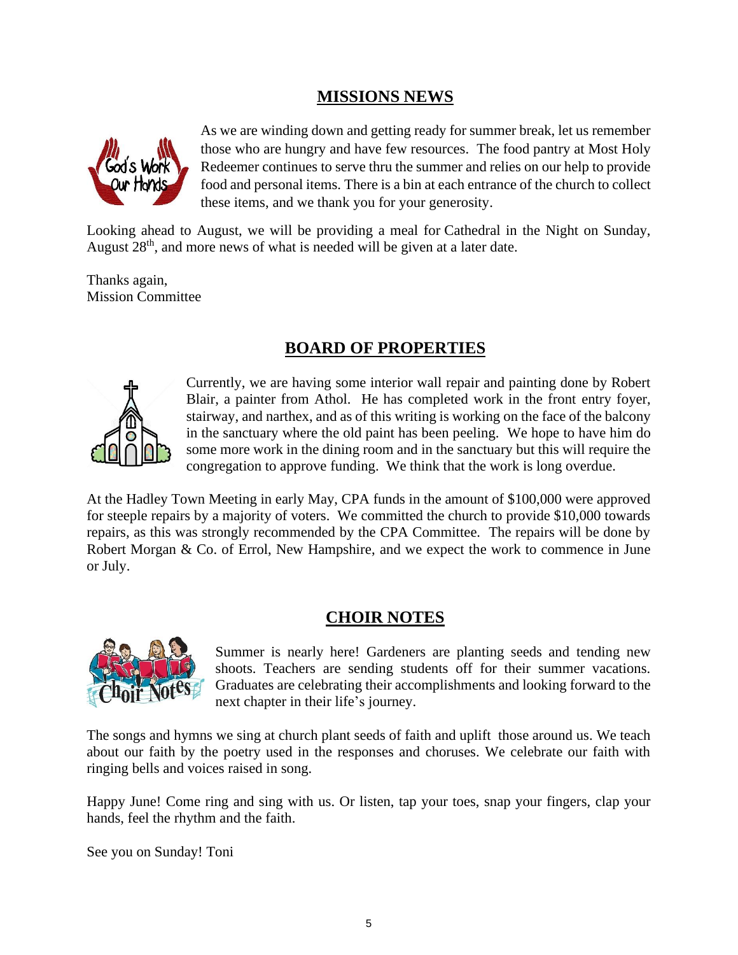## **MISSIONS NEWS**



As we are winding down and getting ready for summer break, let us remember those who are hungry and have few resources. The food pantry at Most Holy Redeemer continues to serve thru the summer and relies on our help to provide food and personal items. There is a bin at each entrance of the church to collect these items, and we thank you for your generosity.

Looking ahead to August, we will be providing a meal for Cathedral in the Night on Sunday, August  $28<sup>th</sup>$ , and more news of what is needed will be given at a later date.

Thanks again, Mission Committee

## **BOARD OF PROPERTIES**



Currently, we are having some interior wall repair and painting done by Robert Blair, a painter from Athol. He has completed work in the front entry foyer, stairway, and narthex, and as of this writing is working on the face of the balcony in the sanctuary where the old paint has been peeling. We hope to have him do some more work in the dining room and in the sanctuary but this will require the congregation to approve funding. We think that the work is long overdue.

At the Hadley Town Meeting in early May, CPA funds in the amount of \$100,000 were approved for steeple repairs by a majority of voters. We committed the church to provide \$10,000 towards repairs, as this was strongly recommended by the CPA Committee. The repairs will be done by Robert Morgan & Co. of Errol, New Hampshire, and we expect the work to commence in June or July.

## **CHOIR NOTES**



Summer is nearly here! Gardeners are planting seeds and tending new shoots. Teachers are sending students off for their summer vacations. Graduates are celebrating their accomplishments and looking forward to the next chapter in their life's journey.

The songs and hymns we sing at church plant seeds of faith and uplift those around us. We teach about our faith by the poetry used in the responses and choruses. We celebrate our faith with ringing bells and voices raised in song.

Happy June! Come ring and sing with us. Or listen, tap your toes, snap your fingers, clap your hands, feel the rhythm and the faith.

See you on Sunday! Toni